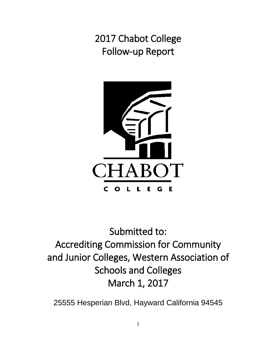2017 Chabot College Follow-up Report



Submitted to: Accrediting Commission for Community and Junior Colleges, Western Association of Schools and Colleges March 1, 2017

25555 Hesperian Blvd, Hayward California 94545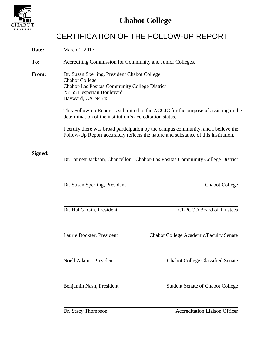

## CERTIFICATION OF THE FOLLOW-UP REPORT

| Date:   | March 1, 2017                                                                                                                                                                                                                                                                                                                                                                                                                                                                                           |  |  |
|---------|---------------------------------------------------------------------------------------------------------------------------------------------------------------------------------------------------------------------------------------------------------------------------------------------------------------------------------------------------------------------------------------------------------------------------------------------------------------------------------------------------------|--|--|
| To:     | Accrediting Commission for Community and Junior Colleges,                                                                                                                                                                                                                                                                                                                                                                                                                                               |  |  |
| From:   | Dr. Susan Sperling, President Chabot College<br><b>Chabot College</b><br>Chabot-Las Positas Community College District<br>25555 Hesperian Boulevard<br>Hayward, CA 94545<br>This Follow-up Report is submitted to the ACCJC for the purpose of assisting in the<br>determination of the institution's accreditation status.<br>I certify there was broad participation by the campus community, and I believe the<br>Follow-Up Report accurately reflects the nature and substance of this institution. |  |  |
| Signed: | Dr. Jannett Jackson, Chancellor Chabot-Las Positas Community College District                                                                                                                                                                                                                                                                                                                                                                                                                           |  |  |
|         | Dr. Susan Sperling, President<br><b>Chabot College</b><br><b>CLPCCD Board of Trustees</b><br>Dr. Hal G. Gin, President                                                                                                                                                                                                                                                                                                                                                                                  |  |  |
|         | Laurie Dockter, President<br><b>Chabot College Academic/Faculty Senate</b>                                                                                                                                                                                                                                                                                                                                                                                                                              |  |  |
|         | Noell Adams, President<br><b>Chabot College Classified Senate</b>                                                                                                                                                                                                                                                                                                                                                                                                                                       |  |  |
|         | Benjamin Nash, President<br><b>Student Senate of Chabot College</b>                                                                                                                                                                                                                                                                                                                                                                                                                                     |  |  |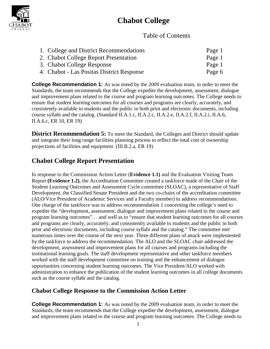

### Table of Contents

| 1. College and District Recommendations   | Page 1 |
|-------------------------------------------|--------|
| 2. Chabot College Report Presentation     | Page 1 |
| 3. Chabot College Response                | Page 1 |
| 4. Chabot - Las Positas District Response | Page 6 |

**College Recommendation 1:** As was noted by the 2009 evaluation team, in order to meet the Standards, the team recommends that the College expedite the development, assessment, dialogue and improvement plans related to the course and program learning outcomes. The College needs to ensure that student learning outcomes for all courses and programs are clearly, accurately, and consistently available to students and the public in both print and electronic documents, including course syllabi and the catalog. (Standard II.A.1.c, II.A.2.c, II.A.2.e, II.A.2.f, II.A.2.i, II.A.6, II.A.6.c, ER 10, ER 19)

**District Recommendation 5:** To meet the Standard, the Colleges and District should update and integrate their long range facilities planning process to reflect the total cost of ownership projections of facilities and equipment. (III.B.2.a, ER 19)

## **Chabot College Report Presentation**

In response to the Commission Action Letter (**Evidence 1.1)** and the Evaluation Visiting Team Report **(Evidence 1.2)**, the Accreditation Committee created a taskforce made of the Chair of the Student Learning Outcomes and Assessment Cycle committee (SLOAC), a representative of Staff Development, the Classified Senate President and the two co-chairs of the accreditation committee (ALO/Vice President of Academic Services and a Faculty member) to address recommendations. One charge of the taskforce was to address recommendation 1 concerning the college's need to expedite the "development, assessment, dialogue and improvement plans related to the course and program learning outcomes"… and well as to "ensure that student learning outcomes for all courses and programs are clearly, accurately, and consistently available to students and the public in both print and electronic documents, including course syllabi and the catalog." The committee met numerous times over the course of the next year. Three different plans of attack were implemented by the taskforce to address the recommendation. The ALO and the SLOAC chair addressed the development, assessment and improvement plans for all courses and programs including the institutional learning goals. The staff development representative and other taskforce members worked with the staff development committee on training and the enhancement of dialogue opportunities concerning student learning outcomes. The Vice President/ALO worked with administration to enhance the publication of the student learning outcomes in all college documents such as the course syllabi and the catalog.

### **Chabot College Response to the Commission Action Letter**

**College Recommendation 1:** As was noted by the 2009 evaluation team, in order to meet the Standards, the team recommends that the College expedite the development, assessment, dialogue and improvement plans related to the course and program learning outcomes. The College needs to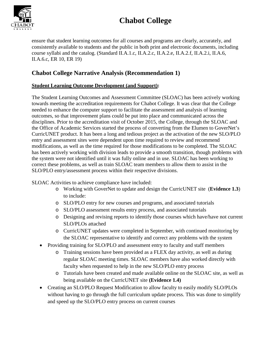

ensure that student learning outcomes for all courses and programs are clearly, accurately, and consistently available to students and the public in both print and electronic documents, including course syllabi and the catalog. (Standard II.A.1.c, II.A.2.c, II.A.2.e, II.A.2.f, II.A.2.i, II.A.6, II.A.6.c, ER 10, ER 19)

### **Chabot College Narrative Analysis (Recommendation 1)**

### **Student Learning Outcome Development (and Support):**

The Student Learning Outcomes and Assessment Committee (SLOAC) has been actively working towards meeting the accreditation requirements for Chabot College. It was clear that the College needed to enhance the computer support to facilitate the assessment and analysis of learning outcomes, so that improvement plans could be put into place and communicated across the disciplines. Prior to the accreditation visit of October 2015, the College, through the SLOAC and the Office of Academic Services started the process of converting from the Elumen to GoverNet's CurricUNET product. It has been a long and tedious project as the activation of the new SLO/PLO entry and assessment sites were dependent upon time required to review and recommend modifications, as well as the time required for those modifications to be completed. The SLOAC has been actively working with division leads to provide a smooth transition, though problems with the system were not identified until it was fully online and in use. SLOAC has been working to correct these problems, as well as train SLOAC team members to allow them to assist in the SLO/PLO entry/assessment process within their respective divisions.

SLOAC Activities to achieve compliance have included:

- o Working with GoverNet to update and design the CurricUNET site (**Evidence 1.3**) to include:
- o SLO/PLO entry for new courses and programs, and associated tutorials
- o SLO/PLO assessment results entry process, and associated tutorials
- o Designing and revising reports to identify those courses which have/have not current SLO/PLOs attached
- o CurricUNET updates were completed in September, with continued monitoring by the SLOAC representative to identify and correct any problems with the system
- Providing training for SLO/PLO and assessment entry to faculty and staff members
	- o Training sessions have been provided as a FLEX day activity, as well as during regular SLOAC meeting times. SLOAC members have also worked directly with faculty when requested to help in the new SLO/PLO entry process
	- o Tutorials have been created and made available online on the SLOAC site, as well as being available on the CurricUNET site **(Evidence 1.4)**
- Creating an SLO/PLO Request Modification to allow faculty to easily modify SLO/PLOs without having to go through the full curriculum update process. This was done to simplify and speed up the SLO/PLO entry process on current courses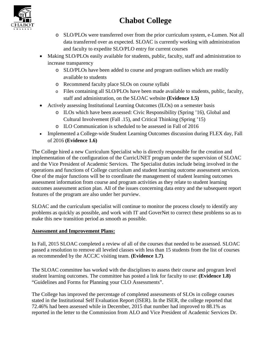

- o SLO/PLOs were transferred over from the prior curriculum system, e-Lumen. Not all data transferred over as expected. SLOAC is currently working with administration and faculty to expedite SLO/PLO entry for current courses
- Making SLO/PLOs easily available for students, public, faculty, staff and administration to increase transparency
	- o SLO/PLOs have been added to course and program outlines which are readily available to students
	- o Recommend faculty place SLOs on course syllabi
	- o Files containing all SLO/PLOs have been made available to students, public, faculty, staff and administration, on the SLOAC website **(Evidence 1.5)**
- Actively assessing Institutional Learning Outcomes (ILOs) on a semester basis
	- o ILOs which have been assessed: Civic Responsibility (Spring '16), Global and Cultural Involvement (Fall .15), and Critical Thinking (Spring '15)
	- o ILO Communication is scheduled to be assessed in Fall of 2016
- Implemented a College-wide Student Learning Outcomes discussion during FLEX day, Fall of 2016 **(Evidence 1.6)**

The College hired a new Curriculum Specialist who is directly responsible for the creation and implementation of the configuration of the CurricUNET program under the supervision of SLOAC and the Vice President of Academic Services. The Specialist duties include being involved in the operations and functions of College curriculum and student learning outcome assessment services. One of the major functions will be to coordinate the management of student learning outcomes assessment information from course and program activities as they relate to student learning outcomes assessment action plan. All of the issues concerning data entry and the subsequent report features of the program are also under her purview.

SLOAC and the curriculum specialist will continue to monitor the process closely to identify any problems as quickly as possible, and work with IT and GoverNet to correct these problems so as to make this new transition period as smooth as possible.

### **Assessment and Improvement Plans:**

In Fall, 2015 SLOAC completed a review of all of the courses that needed to be assessed. SLOAC passed a resolution to remove all leveled classes with less than 15 students from the list of courses as recommended by the ACCJC visiting team. **(Evidence 1.7)**.

The SLOAC committee has worked with the disciplines to assess their course and program level student learning outcomes. The committee has posted a link for faculty to use: **(Evidence 1.8)** "Guidelines and Forms for Planning your CLO Assessments".

The College has improved the percentage of completed assessments of SLOs in college courses stated in the Institutional Self Evaluation Report (ISER). In the ISER, the college reported that 72.46% had been assessed while in December, 2015 that number had improved to 88.1% as reported in the letter to the Commission from ALO and Vice President of Academic Services Dr.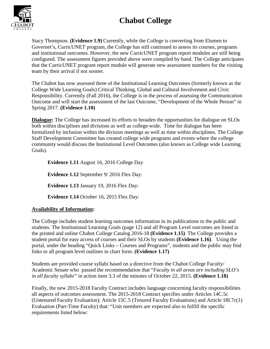

Stacy Thompson. **(Evidence 1.9)** Currently, while the College is converting from Elumen to Governet's, CurricUNET program, the College has still continued to assess its courses, programs and institutional outcomes. However, the new CurricUNET program report modules are still being configured. The assessment figures provided above were compiled by hand. The College anticipates that the CurricUNET program report module will generate new assessment numbers for the visiting team by their arrival if not sooner.

The Chabot has now assessed three of the Institutional Learning Outcomes (formerly known as the College Wide Learning Goals) Critical Thinking, Global and Cultural Involvement and Civic Responsibility. Currently (Fall 2016), the College is in the process of assessing the Communication Outcome and will start the assessment of the last Outcome, "Development of the Whole Person" in Spring 2017. **(Evidence 1.10)**

**Dialogue:** The College has increased its efforts to broaden the opportunities for dialogue on SLOs both within disciplines and divisions as well as college-wide. Time for dialogue has been formalized by inclusion within the division meetings as well as time within disciplines. The College Staff Development Committee has created college wide programs and events where the college community would discuss the Institutional Level Outcomes (also known as College wide Learning Goals).

**Evidence 1.11** August 16, 2016 College Day

**Evidence 1.12** September 9/ 2016 Flex Day: **Evidence 1.13** January 19, 2016 Flex Day:

**Evidence 1.14** October 16, 2015 Flex Day:

#### **Availability of Information:**

The College includes student learning outcomes information in its publications to the public and students. The Institutional Learning Goals (page 12) and all Program Level outcomes are listed in the printed and online Chabot College Catalog 2016-18 **(Evidence 1.15)**. The College provides a student portal for easy access of courses and their SLOs by students **(Evidence 1.16)**. Using the portal, under the heading "Quick Links – Courses and Programs", students and the public may find links to all program level outlines in chart form. **(Evidence 1.17)**

Students are provided course syllabi based on a directive from the Chabot College Faculty/ Academic Senate who passed the recommendation that "*Faculty in all areas are including SLO's in all faculty syllabi"* in action item 3.3 of the minutes of October 22, 2015. **(Evidence 1.18)**

Finally, the new 2015-2018 Faculty Contract includes language concerning faculty responsibilities all aspects of outcomes assessment. The 2015-2018 Contract specifies under Articles 14C.5c (Untenured Faculty Evaluation); Article 15C.5 (Tenured Faculty Evaluations) and Article 18I.7c(1) Evaluation (Part-Time Faculty) that: "Unit members are expected also to fulfill the specific requirements listed below: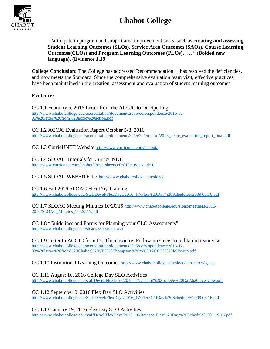

"Participate in program and subject area improvement tasks, such as **creating and assessing Student Learning Outcomes (SLOs), Service Area Outcomes (SAOs), Course Learning Outcomes(CLOs) and Program Learning Outcomes (PLOs), ….** " (**Bolded new language)**. **(Evidence 1.19**

**College Conclusion:** The College has addressed Recommendation 1, has resolved the deficiencies**,**  and now meets the Standard. Since the comprehensive evaluation team visit, effective practices have been maintained in the creation, assessment and evaluation of student learning outcomes.

#### **Evidence:**

CC 1.1 February 5, 2016 Letter from the ACCJC to Dr. Sperling [http://www.chabotcollege.edu/accreditation/documents2015/correspondence/2016-02-](http://www.chabotcollege.edu/accreditation/documents2015/correspondence/2016-02-05%20letter%20from%20accjc%20action.pdf) [05%20letter%20from%20accjc%20action.pdf](http://www.chabotcollege.edu/accreditation/documents2015/correspondence/2016-02-05%20letter%20from%20accjc%20action.pdf)

CC 1.2 ACCJC Evaluation Report October 5-8, 2016 [http://www.chabotcollege.edu/accreditation/documents2015/2015report/2015\\_accjc\\_evaluation\\_report\\_final.pdf](http://www.chabotcollege.edu/accreditation/documents2015/2015report/2015_accjc_evaluation_report_final.pdf)

CC 1.3 CurricUNET Website<http://www.curricunet.com/chabot/>

CC 1.4 SLOAC Tutorials for CurricUNET [http://www.curricunet.com/chabot/cheat\\_sheets.cfm?file\\_types\\_id=1](http://www.curricunet.com/chabot/cheat_sheets.cfm?file_types_id=1)

CC 1.5 SLOAC WEBSITE 1.3<http://www.chabotcollege.edu/sloac/>

CC 1.6 Fall 2016 SLOAC Flex Day Training [http://www.chabotcollege.edu/StaffDevel/FlexDays/2016\\_17/Flex%20Day%20Schedule%2009.06.16.pdf](http://www.chabotcollege.edu/StaffDevel/FlexDays/2016_17/Flex%20Day%20Schedule%2009.06.16.pdf)

CC 1.7 SLOAC Meeting Minutes 10/20/15 [http://www.chabotcollege.edu/sloac/meetings/2015-](http://www.chabotcollege.edu/sloac/meetings/2015-2016/SLOAC_Minutes_10-20-15.pdf) [2016/SLOAC\\_Minutes\\_10-20-15.pdf](http://www.chabotcollege.edu/sloac/meetings/2015-2016/SLOAC_Minutes_10-20-15.pdf)

CC 1.8 "Guidelines and Forms for Planning your CLO Assessments" <http://www.chabotcollege.edu/sloac/assessment.asp>

CC 1.9 Letter to ACCJC from Dr. Thompson re: Follow-up since accreditation team visit [http://www.chabotcollege.edu/accreditation/documents2015/correspondence/2016-12-](http://www.chabotcollege.edu/accreditation/documents2015/correspondence/2016-12-03%20letter%20from%20Chabot%20VP%20Thompson%20to%20ACCJC%20followup.pdf) [03%20letter%20from%20Chabot%20VP%20Thompson%20to%20ACCJC%20followup.pdf](http://www.chabotcollege.edu/accreditation/documents2015/correspondence/2016-12-03%20letter%20from%20Chabot%20VP%20Thompson%20to%20ACCJC%20followup.pdf)

CC 1.10 Institutional Learning Outcomes<http://www.chabotcollege.edu/sloac/current/cwlg.asp>

CC 1.11 August 16, 2016 College Day SLO Activities [http://www.chabotcollege.edu/staffDevel/FlexDays/2016\\_17/Chabot%20College%20Day%20Overview.pdf](http://www.chabotcollege.edu/staffDevel/FlexDays/2016_17/Chabot%20College%20Day%20Overview.pdf)

CC 1.12 September 9, 2016 Flex Day SLO Activities [http://www.chabotcollege.edu/StaffDevel/FlexDays/2016\\_17/Flex%20Day%20Schedule%2009.06.16.pdf](http://www.chabotcollege.edu/StaffDevel/FlexDays/2016_17/Flex%20Day%20Schedule%2009.06.16.pdf)

CC 1.13 January 19, 2016 Flex Day SLO Activities [http://www.chabotcollege.edu/staffDevel/FlexDays/2015\\_16/Revised-Flex%20Day%20Schedule%201.19.16.pdf](http://www.chabotcollege.edu/staffDevel/FlexDays/2015_16/Revised-Flex%20Day%20Schedule%201.19.16.pdf)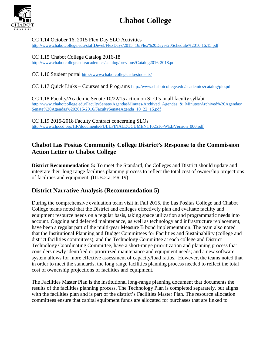

CC 1.14 October 16, 2015 Flex Day SLO Activities [http://www.chabotcollege.edu/staffDevel/FlexDays/2015\\_16/Flex%20Day%20Schedule%2010.16.15.pdf](http://www.chabotcollege.edu/staffDevel/FlexDays/2015_16/Flex%20Day%20Schedule%2010.16.15.pdf)

CC 1.15 Chabot College Catalog 2016-18 <http://www.chabotcollege.edu/academics/catalog/previous/Catalog2016-2018.pdf>

CC 1.16 Student portal<http://www.chabotcollege.edu/students/>

CC 1.17 Quick Links – Courses and Programs<http://www.chabotcollege.edu/academics/catalog/plo.pdf>

CC 1.18 Faculty/Academic Senate 10/22/15 action on SLO's in all faculty syllabi [http://www.chabotcollege.edu/FacultySenate/AgendasMinutes/Archived\\_Agendas\\_&\\_Minutes/Archived%20Agendas/](http://www.chabotcollege.edu/FacultySenate/AgendasMinutes/Archived_Agendas_&_Minutes/Archived%20Agendas/Senate%20Agendas%202015-2016/FacultySenateAgenda_10_22_15.pdf) [Senate%20Agendas%202015-2016/FacultySenateAgenda\\_10\\_22\\_15.pdf](http://www.chabotcollege.edu/FacultySenate/AgendasMinutes/Archived_Agendas_&_Minutes/Archived%20Agendas/Senate%20Agendas%202015-2016/FacultySenateAgenda_10_22_15.pdf)

CC 1.19 2015-2018 Faculty Contract concerning SLOs [http://www.clpccd.org/HR/documents/FULLFINALDOCUMENT102516-WEBVersion\\_000.pdf](http://www.clpccd.org/HR/documents/FULLFINALDOCUMENT102516-WEBVersion_000.pdf)

### **Chabot Las Positas Community College District's Response to the Commission Action Letter to Chabot College**

**District Recommendation 5:** To meet the Standard, the Colleges and District should update and integrate their long range facilities planning process to reflect the total cost of ownership projections of facilities and equipment. (III.B.2.a, ER 19)

### **District Narrative Analysis (Recommendation 5)**

During the comprehensive evaluation team visit in Fall 2015, the Las Positas College and Chabot College teams noted that the District and colleges effectively plan and evaluate facility and equipment resource needs on a regular basis, taking space utilization and programmatic needs into account. Ongoing and deferred maintenance, as well as technology and infrastructure replacement, have been a regular part of the multi-year Measure B bond implementation. The team also noted that the Institutional Planning and Budget Committees for Facilities and Sustainability (college and district facilities committees), and the Technology Committee at each college and District Technology Coordinating Committee, have a short-range prioritization and planning process that considers newly identified or prioritized maintenance and equipment needs; and a new software system allows for more effective assessment of capacity/load ratios. However, the teams noted that in order to meet the standards, the long range facilities planning process needed to reflect the total cost of ownership projections of facilities and equipment.

The Facilities Master Plan is the institutional long-range planning document that documents the results of the facilities planning process. The Technology Plan is completed separately, but aligns with the facilities plan and is part of the district's Facilities Master Plan. The resource allocation committees ensure that capital equipment funds are allocated for purchases that are linked to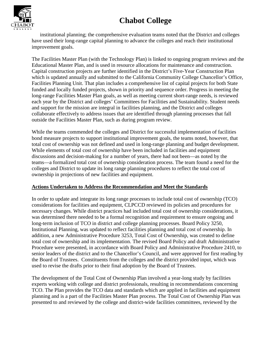

institutional planning; the comprehensive evaluation teams noted that the District and colleges have used their long-range capital planning to advance the colleges and reach their institutional improvement goals.

The Facilities Master Plan (with the Technology Plan) is linked to ongoing program reviews and the Educational Master Plan, and is used in resource allocations for maintenance and construction. Capital construction projects are further identified in the District's Five-Year Construction Plan which is updated annually and submitted to the California Community College Chancellor's Office, Facilities Planning Unit. That plan includes a comprehensive list of capital projects for both State funded and locally funded projects, shown in priority and sequence order. Progress in meeting the long-range Facilities Master Plan goals, as well as meeting current short-range needs, is reviewed each year by the District and colleges' Committees for Facilities and Sustainability. Student needs and support for the mission are integral in facilities planning, and the District and colleges collaborate effectively to address issues that are identified through planning processes that fall outside the Facilities Master Plan, such as during program review.

While the teams commended the colleges and District for successful implementation of facilities bond measure projects to support institutional improvement goals, the teams noted, however, that total cost of ownership was not defined and used in long-range planning and budget development. While elements of total cost of ownership have been included in facilities and equipment discussions and decision-making for a number of years, there had not been—as noted by the teams—a formalized total cost of ownership consideration process. The team found a need for the colleges and District to update its long range planning procedures to reflect the total cost of ownership in projections of new facilities and equipment.

#### **Actions Undertaken to Address the Recommendation and Meet the Standards**

In order to update and integrate its long range processes to include total cost of ownership (TCO) considerations for facilities and equipment, CLPCCD reviewed its policies and procedures for necessary changes. While district practices had included total cost of ownership considerations, it was determined there needed to be a formal recognition and requirement to ensure ongoing and long-term inclusion of TCO in district and college planning processes. Board Policy 3250, Institutional Planning, was updated to reflect facilities planning and total cost of ownership. In addition, a new Administrative Procedure 3253, Total Cost of Ownership, was created to define total cost of ownership and its implementation. The revised Board Policy and draft Administrative Procedure were presented, in accordance with Board Policy and Administrative Procedure 2410, to senior leaders of the district and to the Chancellor's Council, and were approved for first reading by the Board of Trustees. Constituents from the colleges and the district provided input, which was used to revise the drafts prior to their final adoption by the Board of Trustees.

The development of the Total Cost of Ownership Plan involved a year-long study by facilities experts working with college and district professionals, resulting in recommendations concerning TCO. The Plan provides the TCO data and standards which are applied in facilities and equipment planning and is a part of the Facilities Master Plan process. The Total Cost of Ownership Plan was presented to and reviewed by the college and district-wide facilities committees, reviewed by the